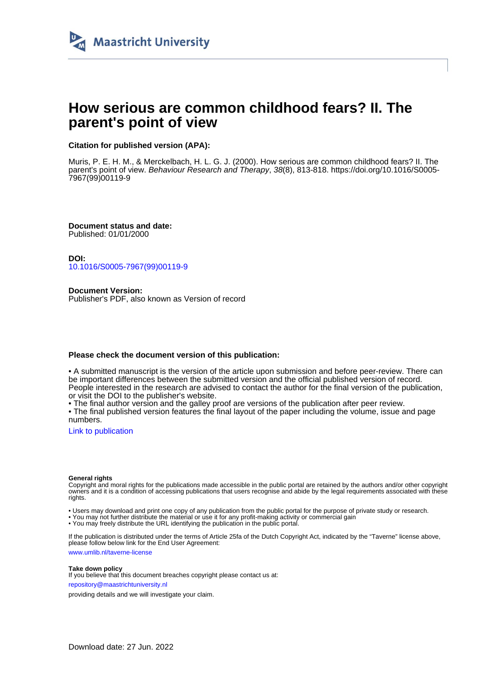

# **How serious are common childhood fears? II. The parent's point of view**

# **Citation for published version (APA):**

Muris, P. E. H. M., & Merckelbach, H. L. G. J. (2000). How serious are common childhood fears? II. The parent's point of view. Behaviour Research and Therapy, 38(8), 813-818. [https://doi.org/10.1016/S0005-](https://doi.org/10.1016/S0005-7967(99)00119-9) [7967\(99\)00119-9](https://doi.org/10.1016/S0005-7967(99)00119-9)

**Document status and date:** Published: 01/01/2000

**DOI:** [10.1016/S0005-7967\(99\)00119-9](https://doi.org/10.1016/S0005-7967(99)00119-9)

**Document Version:** Publisher's PDF, also known as Version of record

## **Please check the document version of this publication:**

• A submitted manuscript is the version of the article upon submission and before peer-review. There can be important differences between the submitted version and the official published version of record. People interested in the research are advised to contact the author for the final version of the publication, or visit the DOI to the publisher's website.

• The final author version and the galley proof are versions of the publication after peer review.

• The final published version features the final layout of the paper including the volume, issue and page numbers.

[Link to publication](https://cris.maastrichtuniversity.nl/en/publications/668e47bf-b2a1-4f0a-a6e5-420911d52c6b)

#### **General rights**

Copyright and moral rights for the publications made accessible in the public portal are retained by the authors and/or other copyright owners and it is a condition of accessing publications that users recognise and abide by the legal requirements associated with these rights.

• Users may download and print one copy of any publication from the public portal for the purpose of private study or research.

• You may not further distribute the material or use it for any profit-making activity or commercial gain

• You may freely distribute the URL identifying the publication in the public portal.

If the publication is distributed under the terms of Article 25fa of the Dutch Copyright Act, indicated by the "Taverne" license above, please follow below link for the End User Agreement:

www.umlib.nl/taverne-license

### **Take down policy**

If you believe that this document breaches copyright please contact us at: repository@maastrichtuniversity.nl

providing details and we will investigate your claim.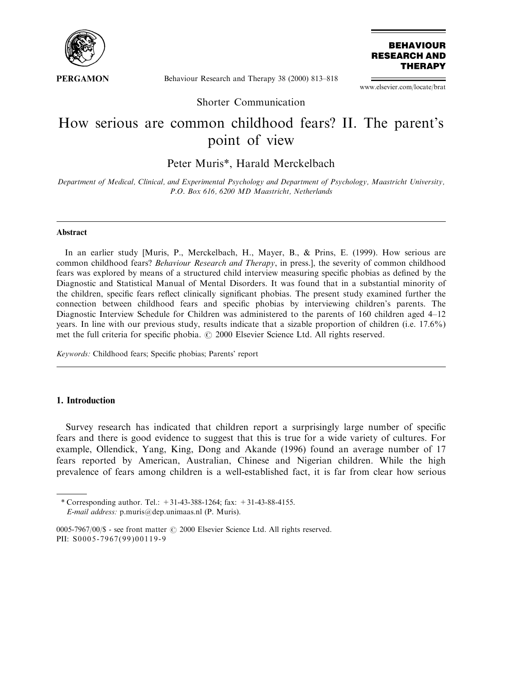

## Behaviour Research and Therapy 38 (2000) 813-818

**BEHAVIOUR RESEARCH AND THERAPY** 

www.elsevier.com/locate/brat

Shorter Communication

# How serious are common childhood fears? II. The parent's point of view

# Peter Muris\*, Harald Merckelbach

Department of Medical, Clinical, and Experimental Psychology and Department of Psychology, Maastricht University, P.O. Box 616, 6200 MD Maastricht, Netherlands

### Abstract

In an earlier study [Muris, P., Merckelbach, H., Mayer, B., & Prins, E. (1999). How serious are common childhood fears? Behaviour Research and Therapy, in press.], the severity of common childhood fears was explored by means of a structured child interview measuring specific phobias as defined by the Diagnostic and Statistical Manual of Mental Disorders. It was found that in a substantial minority of the children, specific fears reflect clinically significant phobias. The present study examined further the connection between childhood fears and specific phobias by interviewing children's parents. The Diagnostic Interview Schedule for Children was administered to the parents of 160 children aged  $4-12$ years. In line with our previous study, results indicate that a sizable proportion of children (i.e. 17.6%) met the full criteria for specific phobia.  $\odot$  2000 Elsevier Science Ltd. All rights reserved.

Keywords: Childhood fears; Specific phobias; Parents' report

# 1. Introduction

Survey research has indicated that children report a surprisingly large number of specific fears and there is good evidence to suggest that this is true for a wide variety of cultures. For example, Ollendick, Yang, King, Dong and Akande (1996) found an average number of 17 fears reported by American, Australian, Chinese and Nigerian children. While the high prevalence of fears among children is a well-established fact, it is far from clear how serious

<sup>\*</sup> Corresponding author. Tel.:  $+31-43-388-1264$ ; fax:  $+31-43-88-4155$ .

E-mail address: p.muris@dep.unimaas.nl (P. Muris).

<sup>0005-7967/00/\$ -</sup> see front matter  $\odot$  2000 Elsevier Science Ltd. All rights reserved. PII: S0005-7967(99)00119-9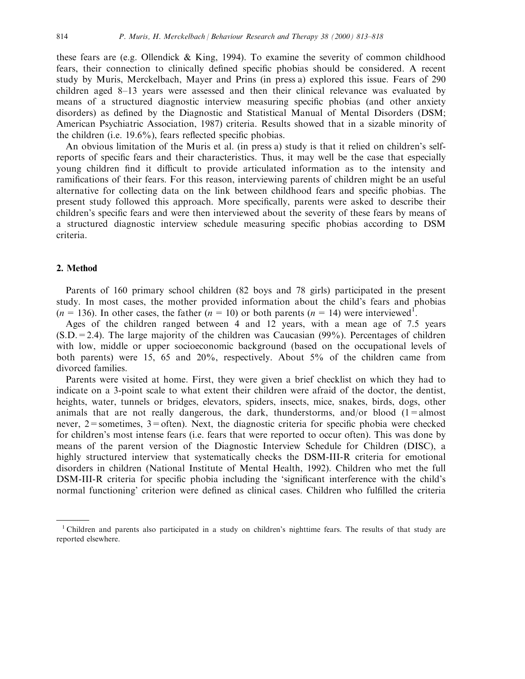these fears are (e.g. Ollendick & King, 1994). To examine the severity of common childhood fears, their connection to clinically defined specific phobias should be considered. A recent study by Muris, Merckelbach, Mayer and Prins (in press a) explored this issue. Fears of 290 children aged 8-13 years were assessed and then their clinical relevance was evaluated by means of a structured diagnostic interview measuring specific phobias (and other anxiety disorders) as defined by the Diagnostic and Statistical Manual of Mental Disorders (DSM; American Psychiatric Association, 1987) criteria. Results showed that in a sizable minority of the children (i.e.  $19.6\%$ ), fears reflected specific phobias.

An obvious limitation of the Muris et al. (in press a) study is that it relied on children's selfreports of specific fears and their characteristics. Thus, it may well be the case that especially young children find it difficult to provide articulated information as to the intensity and ramifications of their fears. For this reason, interviewing parents of children might be an useful alternative for collecting data on the link between childhood fears and specific phobias. The present study followed this approach. More specifically, parents were asked to describe their children's specific fears and were then interviewed about the severity of these fears by means of a structured diagnostic interview schedule measuring specific phobias according to DSM criteria.

# 2. Method

Parents of 160 primary school children (82 boys and 78 girls) participated in the present study. In most cases, the mother provided information about the child's fears and phobias  $(n = 136)$ . In other cases, the father  $(n = 10)$  or both parents  $(n = 14)$  were interviewed<sup>1</sup>.

Ages of the children ranged between 4 and 12 years, with a mean age of 7.5 years  $(S.D. = 2.4)$ . The large majority of the children was Caucasian (99%). Percentages of children with low, middle or upper socioeconomic background (based on the occupational levels of both parents) were 15, 65 and 20%, respectively. About 5% of the children came from divorced families.

Parents were visited at home. First, they were given a brief checklist on which they had to indicate on a 3-point scale to what extent their children were afraid of the doctor, the dentist, heights, water, tunnels or bridges, elevators, spiders, insects, mice, snakes, birds, dogs, other animals that are not really dangerous, the dark, thunderstorms, and/or blood  $(1 = \text{almost})$ never,  $2$ =sometimes,  $3$ =often). Next, the diagnostic criteria for specific phobia were checked for children's most intense fears (i.e. fears that were reported to occur often). This was done by means of the parent version of the Diagnostic Interview Schedule for Children (DISC), a highly structured interview that systematically checks the DSM-III-R criteria for emotional disorders in children (National Institute of Mental Health, 1992). Children who met the full DSM-III-R criteria for specific phobia including the 'significant interference with the child's normal functioning' criterion were defined as clinical cases. Children who fulfilled the criteria

<sup>&</sup>lt;sup>1</sup> Children and parents also participated in a study on children's nighttime fears. The results of that study are reported elsewhere.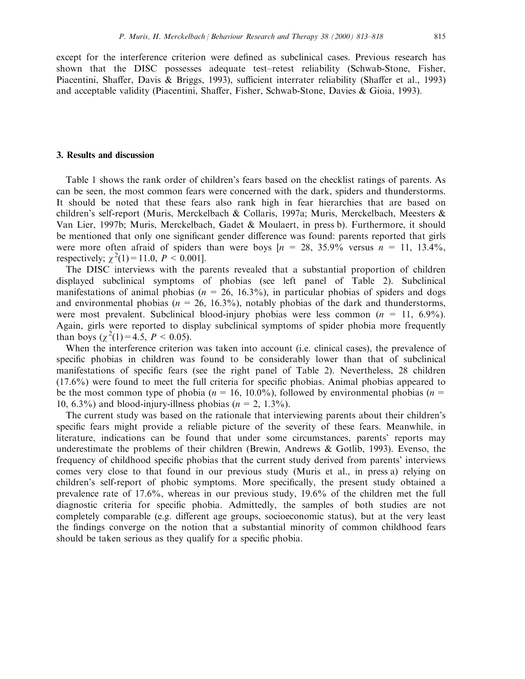except for the interference criterion were defined as subclinical cases. Previous research has shown that the DISC possesses adequate test-retest reliability (Schwab-Stone, Fisher, Piacentini, Shaffer, Davis & Briggs, 1993), sufficient interrater reliability (Shaffer et al., 1993) and acceptable validity (Piacentini, Shaffer, Fisher, Schwab-Stone, Davies & Gioia, 1993).

# 3. Results and discussion

Table 1 shows the rank order of children's fears based on the checklist ratings of parents. As can be seen, the most common fears were concerned with the dark, spiders and thunderstorms. It should be noted that these fears also rank high in fear hierarchies that are based on children's self-report (Muris, Merckelbach & Collaris, 1997a; Muris, Merckelbach, Meesters & Van Lier, 1997b; Muris, Merckelbach, Gadet & Moulaert, in press b). Furthermore, it should be mentioned that only one significant gender difference was found: parents reported that girls were more often afraid of spiders than were boys  $[n = 28, 35.9\%$  versus  $n = 11, 13.4\%$ , respectively;  $\chi^2(1) = 11.0$ ,  $P < 0.001$ ].

The DISC interviews with the parents revealed that a substantial proportion of children displayed subclinical symptoms of phobias (see left panel of Table 2). Subclinical manifestations of animal phobias ( $n = 26$ , 16.3%), in particular phobias of spiders and dogs and environmental phobias ( $n = 26$ , 16.3%), notably phobias of the dark and thunderstorms, were most prevalent. Subclinical blood-injury phobias were less common  $(n = 11, 6.9\%)$ . Again, girls were reported to display subclinical symptoms of spider phobia more frequently than boys  $(\chi^2(1)=4.5, P < 0.05)$ .

When the interference criterion was taken into account (i.e. clinical cases), the prevalence of specific phobias in children was found to be considerably lower than that of subclinical manifestations of specific fears (see the right panel of Table 2). Nevertheless, 28 children  $(17.6\%)$  were found to meet the full criteria for specific phobias. Animal phobias appeared to be the most common type of phobia ( $n = 16, 10.0\%$ ), followed by environmental phobias ( $n =$ 10, 6.3%) and blood-injury-illness phobias ( $n = 2, 1.3\%$ ).

The current study was based on the rationale that interviewing parents about their children's specific fears might provide a reliable picture of the severity of these fears. Meanwhile, in literature, indications can be found that under some circumstances, parents' reports may underestimate the problems of their children (Brewin, Andrews & Gotlib, 1993). Evenso, the frequency of childhood specific phobias that the current study derived from parents' interviews comes very close to that found in our previous study (Muris et al., in press a) relying on children's self-report of phobic symptoms. More specifically, the present study obtained a prevalence rate of 17.6%, whereas in our previous study, 19.6% of the children met the full diagnostic criteria for specific phobia. Admittedly, the samples of both studies are not completely comparable (e.g. different age groups, socioeconomic status), but at the very least the findings converge on the notion that a substantial minority of common childhood fears should be taken serious as they qualify for a specific phobia.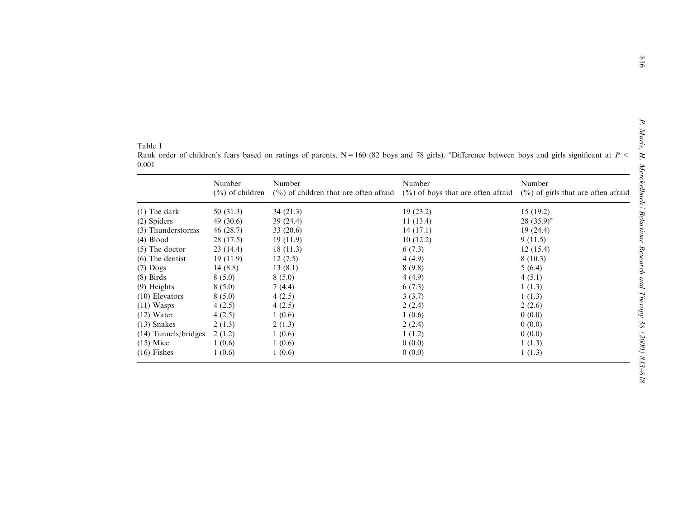| able |  |
|------|--|
|------|--|

Rank order of children's fears based on ratings of parents. N=160 (82 boys and 78 girls). \*Difference between boys and girls significant at  $P \leq$ 0.001

|                                        | Number             | Number                                                                                                                                      | Number   | Number        |
|----------------------------------------|--------------------|---------------------------------------------------------------------------------------------------------------------------------------------|----------|---------------|
|                                        | $(\%)$ of children | $\binom{9}{0}$ of children that are often afraid $\binom{9}{0}$ of boys that are often afraid $\binom{9}{0}$ of girls that are often afraid |          |               |
| 50(31.3)<br>34(21.3)<br>$(1)$ The dark |                    |                                                                                                                                             | 19(23.2) | 15(19.2)      |
| (2) Spiders                            | 49 (30.6)          | 39(24.4)                                                                                                                                    | 11(13.4) | 28 $(35.9)^*$ |
| (3) Thunderstorms                      | 46(28.7)           | 33(20.6)                                                                                                                                    | 14(17.1) | 19(24.4)      |
| $(4)$ Blood                            | 28 (17.5)          | 19(11.9)                                                                                                                                    | 10(12.2) | 9(11.5)       |
| $(5)$ The doctor                       | 23(14.4)           | 18(11.3)                                                                                                                                    | 6(7.3)   | 12(15.4)      |
| $(6)$ The dentist                      | 19(11.9)           | 12(7.5)                                                                                                                                     | 4(4.9)   | 8(10.3)       |
| $(7)$ Dogs                             | 14(8.8)            | 13(8.1)                                                                                                                                     | 8(9.8)   | 5(6.4)        |
| $(8)$ Birds                            | 8(5.0)             | 8(5.0)                                                                                                                                      | 4(4.9)   | 4(5.1)        |
| $(9)$ Heights                          | 8(5.0)             | 7(4.4)                                                                                                                                      | 6(7.3)   | 1(1.3)        |
| $(10)$ Elevators                       | 8(5.0)             | 4(2.5)                                                                                                                                      | 3(3.7)   | 1(1.3)        |
| $(11)$ Wasps                           | 4(2.5)             | 4(2.5)                                                                                                                                      | 2(2.4)   | 2(2.6)        |
| $(12)$ Water                           | 4(2.5)             | 1(0.6)                                                                                                                                      | 1(0.6)   | 0(0.0)        |
| $(13)$ Snakes                          | 2(1.3)             | 2(1.3)                                                                                                                                      | 2(2.4)   | 0(0.0)        |
| $(14)$ Tunnels/bridges                 | 2(1.2)             | 1(0.6)                                                                                                                                      | 1(1.2)   | 0(0.0)        |
| $(15)$ Mice                            | 1(0.6)             | 1(0.6)                                                                                                                                      | 0(0.0)   | 1(1.3)        |
| $(16)$ Fishes                          | 1(0.6)             | 1(0.6)                                                                                                                                      | 0(0.0)   | 1(1.3)        |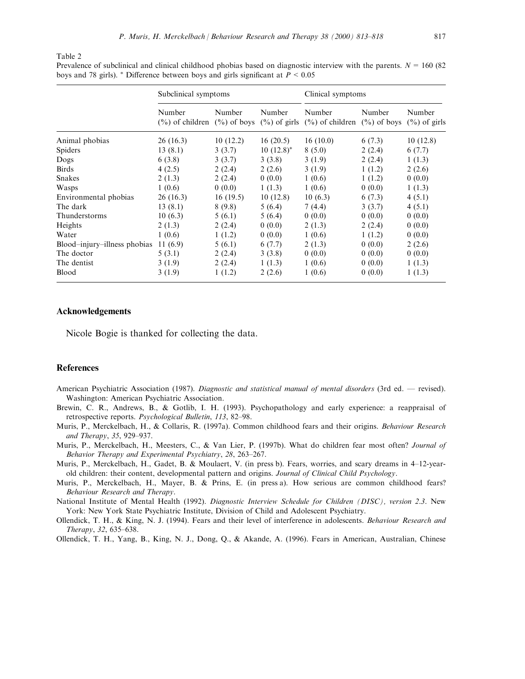Table 2

|                              | Subclinical symptoms                                                                |          |              | Clinical symptoms                           |        |                           |  |
|------------------------------|-------------------------------------------------------------------------------------|----------|--------------|---------------------------------------------|--------|---------------------------|--|
|                              | Number<br>$\binom{0}{0}$ of children $\binom{0}{0}$ of boys $\binom{0}{0}$ of girls | Number   | Number       | Number<br>$(\%)$ of children $(\%)$ of boys | Number | Number<br>$(\%)$ of girls |  |
| Animal phobias               | 26(16.3)                                                                            | 10(12.2) | 16(20.5)     | 16(10.0)                                    | 6(7.3) | 10(12.8)                  |  |
| Spiders                      | 13(8.1)                                                                             | 3(3.7)   | $10(12.8)^*$ | 8(5.0)                                      | 2(2.4) | 6(7.7)                    |  |
| Dogs                         | 6(3.8)                                                                              | 3(3.7)   | 3(3.8)       | 3(1.9)                                      | 2(2.4) | 1(1.3)                    |  |
| <b>Birds</b>                 | 4(2.5)                                                                              | 2(2.4)   | 2(2.6)       | 3(1.9)                                      | 1(1.2) | 2(2.6)                    |  |
| <b>Snakes</b>                | 2(1.3)                                                                              | 2(2.4)   | 0(0.0)       | 1(0.6)                                      | 1(1.2) | 0(0.0)                    |  |
| Wasps                        | 1(0.6)                                                                              | 0(0.0)   | 1(1.3)       | 1(0.6)                                      | 0(0.0) | 1(1.3)                    |  |
| Environmental phobias        | 26(16.3)                                                                            | 16(19.5) | 10(12.8)     | 10(6.3)                                     | 6(7.3) | 4(5.1)                    |  |
| The dark                     | 13(8.1)                                                                             | 8(9.8)   | 5(6.4)       | 7(4.4)                                      | 3(3.7) | 4(5.1)                    |  |
| Thunderstorms                | 10(6.3)                                                                             | 5(6.1)   | 5(6.4)       | 0(0.0)                                      | 0(0.0) | 0(0.0)                    |  |
| Heights                      | 2(1.3)                                                                              | 2(2.4)   | 0(0.0)       | 2(1.3)                                      | 2(2.4) | 0(0.0)                    |  |
| Water                        | 1(0.6)                                                                              | 1(1.2)   | 0(0.0)       | 1(0.6)                                      | 1(1.2) | 0(0.0)                    |  |
| Blood-injury-illness phobias | 11(6.9)                                                                             | 5(6.1)   | 6(7.7)       | 2(1.3)                                      | 0(0.0) | 2(2.6)                    |  |
| The doctor                   | 5(3.1)                                                                              | 2(2.4)   | 3(3.8)       | 0(0.0)                                      | 0(0.0) | 0(0.0)                    |  |
| The dentist                  | 3(1.9)                                                                              | 2(2.4)   | 1(1.3)       | 1(0.6)                                      | 0(0.0) | 1(1.3)                    |  |
| Blood                        | 3(1.9)                                                                              | 1(1.2)   | 2(2.6)       | 1(0.6)                                      | 0(0.0) | 1(1.3)                    |  |

Prevalence of subclinical and clinical childhood phobias based on diagnostic interview with the parents.  $N = 160 (82)$ boys and 78 girls). <sup>\*</sup> Difference between boys and girls significant at  $P < 0.05$ 

## Acknowledgements

Nicole Bogie is thanked for collecting the data.

# References

- American Psychiatric Association (1987). Diagnostic and statistical manual of mental disorders (3rd ed.  $-$  revised). Washington: American Psychiatric Association.
- Brewin, C. R., Andrews, B., & Gotlib, I. H. (1993). Psychopathology and early experience: a reappraisal of retrospective reports. Psychological Bulletin, 113, 82-98.
- Muris, P., Merckelbach, H., & Collaris, R. (1997a). Common childhood fears and their origins. Behaviour Research and Therapy, 35, 929-937.
- Muris, P., Merckelbach, H., Meesters, C., & Van Lier, P. (1997b). What do children fear most often? Journal of Behavior Therapy and Experimental Psychiatry,  $28$ ,  $263-267$ .
- Muris, P., Merckelbach, H., Gadet, B. & Moulaert, V. (in press b). Fears, worries, and scary dreams in 4-12-yearold children: their content, developmental pattern and origins. Journal of Clinical Child Psychology.
- Muris, P., Merckelbach, H., Mayer, B. & Prins, E. (in press a). How serious are common childhood fears? Behaviour Research and Therapy.
- National Institute of Mental Health (1992). Diagnostic Interview Schedule for Children (DISC), version 2.3. New York: New York State Psychiatric Institute, Division of Child and Adolescent Psychiatry.
- Ollendick, T. H., & King, N. J. (1994). Fears and their level of interference in adolescents. Behaviour Research and Therapy, 32,  $635-638$ .
- Ollendick, T. H., Yang, B., King, N. J., Dong, Q., & Akande, A. (1996). Fears in American, Australian, Chinese